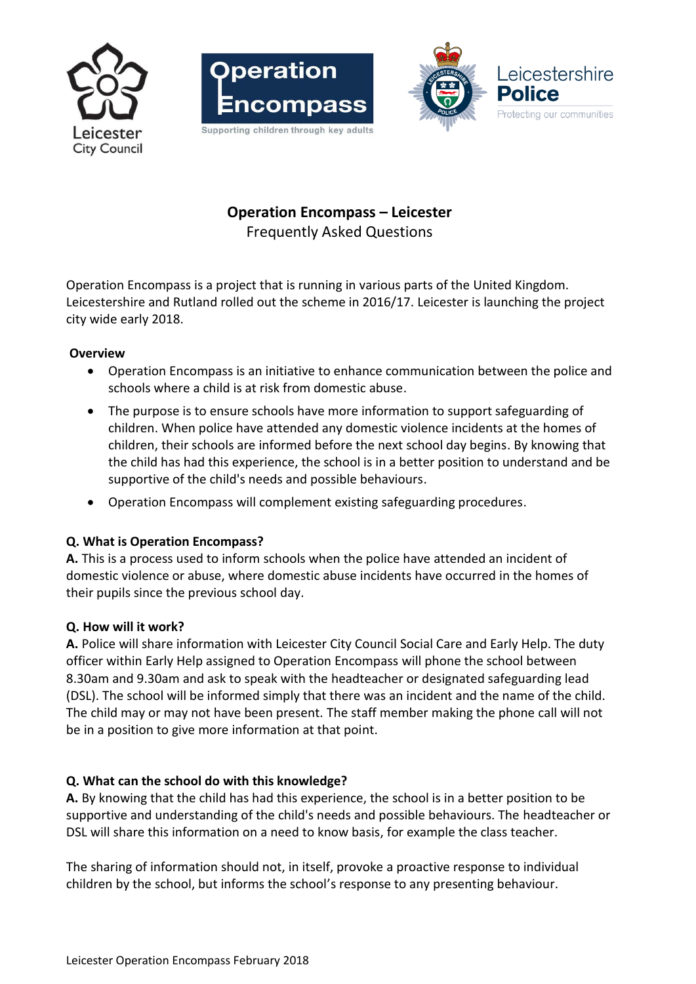





# **Operation Encompass – Leicester** Frequently Asked Questions

Operation Encompass is a project that is running in various parts of the United Kingdom. Leicestershire and Rutland rolled out the scheme in 2016/17. Leicester is launching the project city wide early 2018.

#### **Overview**

- Operation Encompass is an initiative to enhance communication between the police and schools where a child is at risk from domestic abuse.
- The purpose is to ensure schools have more information to support safeguarding of children. When police have attended any domestic violence incidents at the homes of children, their schools are informed before the next school day begins. By knowing that the child has had this experience, the school is in a better position to understand and be supportive of the child's needs and possible behaviours.
- Operation Encompass will complement existing safeguarding procedures.

#### **Q. What is Operation Encompass?**

**A.** This is a process used to inform schools when the police have attended an incident of domestic violence or abuse, where domestic abuse incidents have occurred in the homes of their pupils since the previous school day.

#### **Q. How will it work?**

**A.** Police will share information with Leicester City Council Social Care and Early Help. The duty officer within Early Help assigned to Operation Encompass will phone the school between 8.30am and 9.30am and ask to speak with the headteacher or designated safeguarding lead (DSL). The school will be informed simply that there was an incident and the name of the child. The child may or may not have been present. The staff member making the phone call will not be in a position to give more information at that point.

#### **Q. What can the school do with this knowledge?**

**A.** By knowing that the child has had this experience, the school is in a better position to be supportive and understanding of the child's needs and possible behaviours. The headteacher or DSL will share this information on a need to know basis, for example the class teacher.

The sharing of information should not, in itself, provoke a proactive response to individual children by the school, but informs the school's response to any presenting behaviour.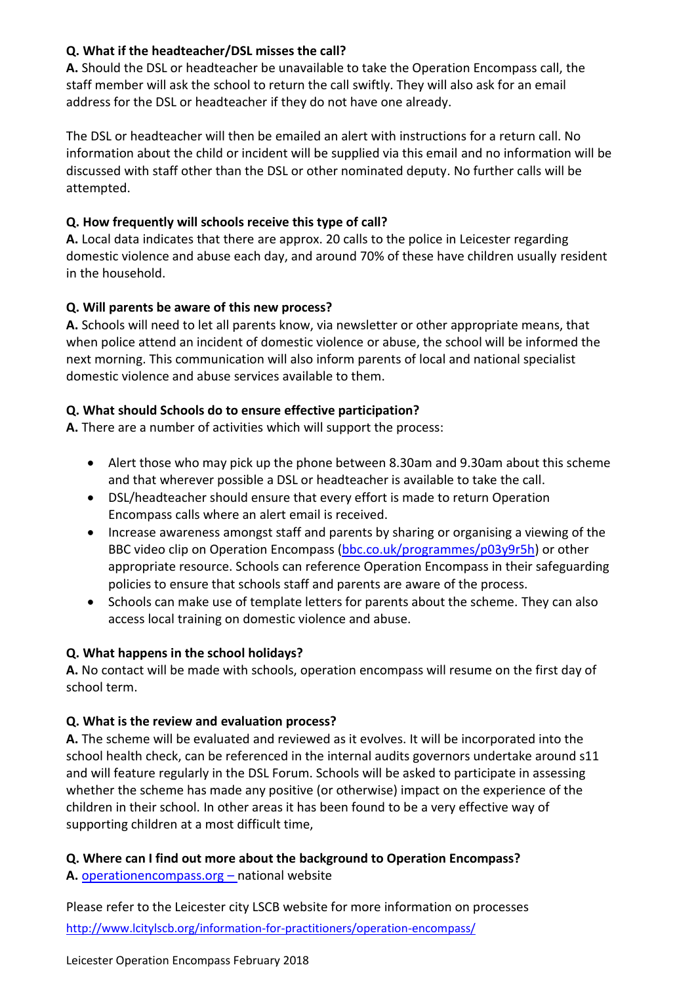### **Q. What if the headteacher/DSL misses the call?**

**A.** Should the DSL or headteacher be unavailable to take the Operation Encompass call, the staff member will ask the school to return the call swiftly. They will also ask for an email address for the DSL or headteacher if they do not have one already.

The DSL or headteacher will then be emailed an alert with instructions for a return call. No information about the child or incident will be supplied via this email and no information will be discussed with staff other than the DSL or other nominated deputy. No further calls will be attempted.

# **Q. How frequently will schools receive this type of call?**

**A.** Local data indicates that there are approx. 20 calls to the police in Leicester regarding domestic violence and abuse each day, and around 70% of these have children usually resident in the household.

## **Q. Will parents be aware of this new process?**

**A.** Schools will need to let all parents know, via newsletter or other appropriate means, that when police attend an incident of domestic violence or abuse, the school will be informed the next morning. This communication will also inform parents of local and national specialist domestic violence and abuse services available to them.

## **Q. What should Schools do to ensure effective participation?**

**A.** There are a number of activities which will support the process:

- Alert those who may pick up the phone between 8.30am and 9.30am about this scheme and that wherever possible a DSL or headteacher is available to take the call.
- DSL/headteacher should ensure that every effort is made to return Operation Encompass calls where an alert email is received.
- Increase awareness amongst staff and parents by sharing or organising a viewing of the BBC video clip on Operation Encompass [\(bbc.co.uk/programmes/p03y9r5h\)](http://www.bbc.co.uk/programmes/p03y9r5h) or other appropriate resource. Schools can reference Operation Encompass in their safeguarding policies to ensure that schools staff and parents are aware of the process.
- Schools can make use of template letters for parents about the scheme. They can also access local training on domestic violence and abuse.

# **Q. What happens in the school holidays?**

**A.** No contact will be made with schools, operation encompass will resume on the first day of school term.

# **Q. What is the review and evaluation process?**

**A.** The scheme will be evaluated and reviewed as it evolves. It will be incorporated into the school health check, can be referenced in the internal audits governors undertake around s11 and will feature regularly in the DSL Forum. Schools will be asked to participate in assessing whether the scheme has made any positive (or otherwise) impact on the experience of the children in their school. In other areas it has been found to be a very effective way of supporting children at a most difficult time,

# **Q. Where can I find out more about the background to Operation Encompass?**

**A.** [operationencompass.org](http://www.operationencompass.org/) – national website

Please refer to the Leicester city LSCB website for more information on processes <http://www.lcitylscb.org/information-for-practitioners/operation-encompass/>